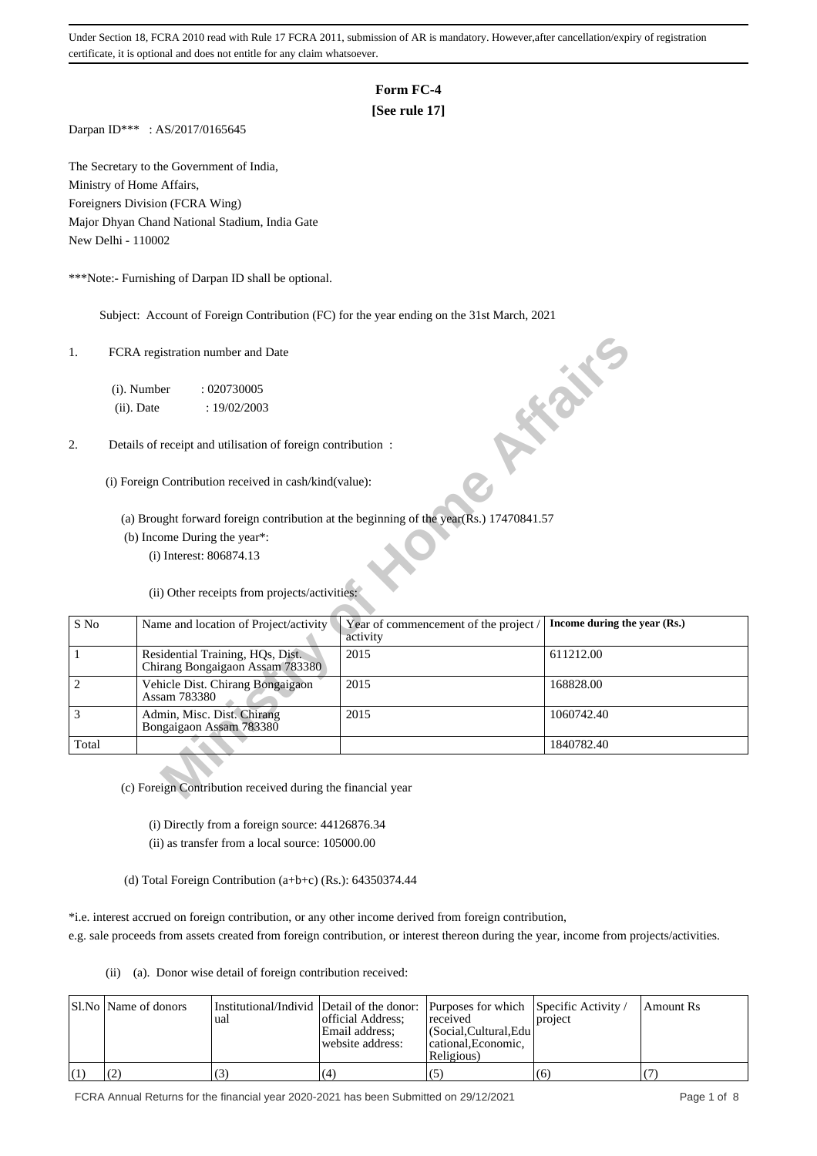# **Form FC-4**

# **[See rule 17]**

Darpan ID\*\*\* : AS/2017/0165645

The Secretary to the Government of India, Ministry of Home Affairs, Foreigners Division (FCRA Wing) Major Dhyan Chand National Stadium, India Gate New Delhi - 110002

\*\*\*Note:- Furnishing of Darpan ID shall be optional.

Subject: Account of Foreign Contribution (FC) for the year ending on the 31st March, 2021

| 1.             | FCRA registration number and Date                                                                     |                                                   |                              |
|----------------|-------------------------------------------------------------------------------------------------------|---------------------------------------------------|------------------------------|
|                | (i). Number<br>: 020730005<br>$(ii)$ . Date<br>: 19/02/2003                                           |                                                   | <b>HEATH</b>                 |
| 2.             | Details of receipt and utilisation of foreign contribution:                                           |                                                   |                              |
|                | (i) Foreign Contribution received in cash/kind(value):                                                |                                                   |                              |
|                | (a) Brought forward foreign contribution at the beginning of the year( $\overline{R}$ s.) 17470841.57 |                                                   |                              |
|                | (b) Income During the year*:                                                                          |                                                   |                              |
|                | (i) Interest: 806874.13                                                                               |                                                   |                              |
|                | (ii) Other receipts from projects/activities:                                                         |                                                   |                              |
| S No           | Name and location of Project/activity                                                                 | Year of commencement of the project /<br>activity | Income during the year (Rs.) |
| 1              | Residential Training, HQs, Dist.<br>Chirang Bongaigaon Assam 783380                                   | 2015                                              | 611212.00                    |
| $\overline{c}$ | Vehicle Dist. Chirang Bongaigaon<br>Assam 783380                                                      | 2015                                              | 168828.00                    |
| 3              | Admin, Misc. Dist. Chirang<br>Bongaigaon Assam 783380                                                 | 2015                                              | 1060742.40                   |
| Total          |                                                                                                       |                                                   | 1840782.40                   |
|                | (c) Foreign Contribution received during the financial year                                           |                                                   |                              |

- (i) Directly from a foreign source: 44126876.34 (ii) as transfer from a local source: 105000.00
- (d) Total Foreign Contribution (a+b+c) (Rs.): 64350374.44

\*i.e. interest accrued on foreign contribution, or any other income derived from foreign contribution,

e.g. sale proceeds from assets created from foreign contribution, or interest thereon during the year, income from projects/activities.

(ii) (a). Donor wise detail of foreign contribution received:

|     | Sl.No   Name of donors | ual | official Address;<br>Email address:<br>website address: | Institutional/Individ Detail of the donor: Purposes for which Specific Activity /<br>received<br>  (Social.Cultural.Edu)<br>cational. Economic.<br>Religious) | project | Amount Rs |
|-----|------------------------|-----|---------------------------------------------------------|---------------------------------------------------------------------------------------------------------------------------------------------------------------|---------|-----------|
| (1) |                        |     | (4                                                      | (5)                                                                                                                                                           | (6)     |           |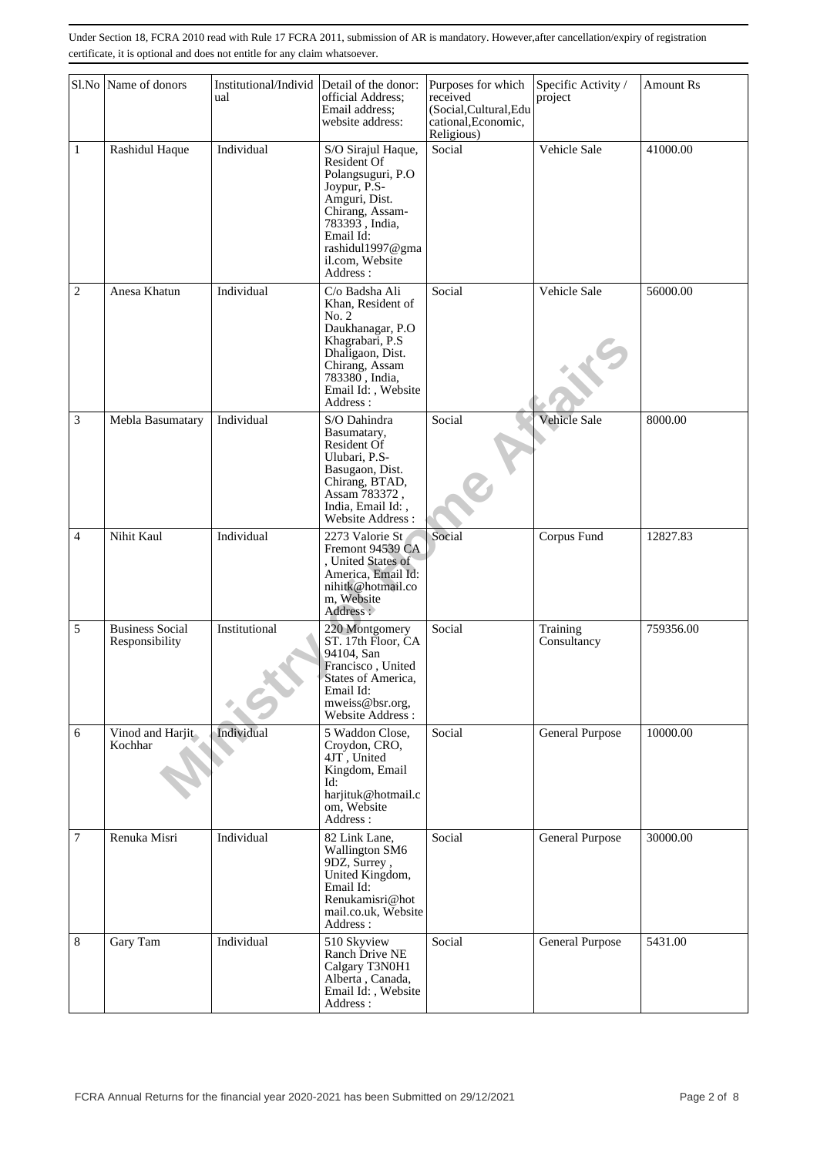|                | Sl.No Name of donors                     | Institutional/Individ<br>ual | Detail of the donor:<br>official Address;<br>Email address;<br>website address:                                                                                                              | Purposes for which<br>received<br>(Social, Cultural, Edu<br>cational, Economic, | Specific Activity /<br>project | <b>Amount Rs</b> |
|----------------|------------------------------------------|------------------------------|----------------------------------------------------------------------------------------------------------------------------------------------------------------------------------------------|---------------------------------------------------------------------------------|--------------------------------|------------------|
| $\mathbf{1}$   | Rashidul Haque                           | Individual                   | S/O Sirajul Haque,<br>Resident Of<br>Polangsuguri, P.O<br>Joypur, P.S-<br>Amguri, Dist.<br>Chirang, Assam-<br>783393, India,<br>Email Id:<br>rashidul1997@gma<br>il.com, Website<br>Address: | Religious)<br>Social                                                            | Vehicle Sale                   | 41000.00         |
| $\overline{c}$ | Anesa Khatun                             | Individual                   | C/o Badsha Ali<br>Khan, Resident of<br>No. 2<br>Daukhanagar, P.O<br>Khagrabari, P.S.<br>Dhaligaon, Dist.<br>Chirang, Assam<br>783380, India,<br>Email Id:, Website<br>Address:               | Social                                                                          | Vehicle Sale                   | 56000.00         |
| 3              | Mebla Basumatary                         | Individual                   | S/O Dahindra<br>Basumatary,<br><b>Resident Of</b><br>Ulubari, P.S-<br>Basugaon, Dist.<br>Chirang, BTAD,<br>Assam 783372,<br>India, Email Id:,<br><b>Website Address:</b>                     | Social                                                                          | Vehicle Sale                   | 8000.00          |
| 4              | Nihit Kaul                               | Individual                   | 2273 Valorie St<br>Fremont 94539 CA<br>, United States of<br>America, Email Id:<br>nihitk@hotmail.co<br>m, Website<br>Address :                                                              | Social                                                                          | Corpus Fund                    | 12827.83         |
| 5              | <b>Business Social</b><br>Responsibility | Institutional                | 220 Montgomery<br>ST. 17th Floor, CA<br>94104, San<br>Francisco, United<br>States of America.<br>Email Id:<br>mweiss@bsr.org,<br>Website Address:                                            | Social                                                                          | Training<br>Consultancy        | 759356.00        |
| 6              | Vinod and Harjit<br>Kochhar              | Individual                   | 5 Waddon Close,<br>Croydon, CRO,<br>4JT, United<br>Kingdom, Email<br>Id:<br>harjituk@hotmail.c<br>om, Website<br>Address:                                                                    | Social                                                                          | General Purpose                | 10000.00         |
| $\tau$         | Renuka Misri                             | Individual                   | 82 Link Lane.<br>Wallington SM6<br>9DZ, Surrey,<br>United Kingdom,<br>Email Id:<br>Renukamisri@hot<br>mail.co.uk, Website<br>Address:                                                        | Social                                                                          | General Purpose                | 30000.00         |
| 8              | Gary Tam                                 | Individual                   | 510 Skyview<br>Ranch Drive NE<br>Calgary T3N0H1<br>Alberta, Canada,<br>Email Id:, Website<br>Address:                                                                                        | Social                                                                          | General Purpose                | 5431.00          |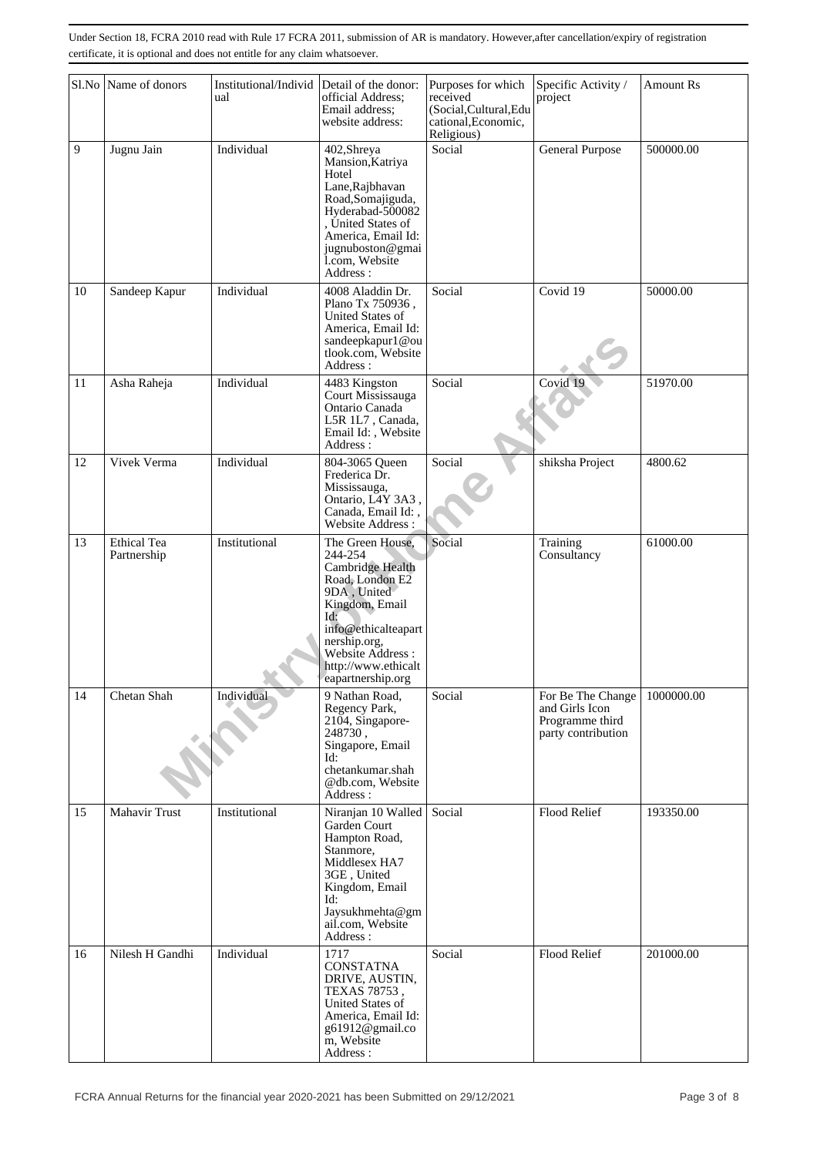|    | Sl.No Name of donors       | Institutional/Individ Detail of the donor:<br>ual | official Address;<br>Email address;<br>website address:                                                                                                                                                            | Purposes for which<br>received<br>(Social, Cultural, Edu<br>cational, Economic,<br>Religious) | Specific Activity /<br>project                                               | <b>Amount Rs</b> |
|----|----------------------------|---------------------------------------------------|--------------------------------------------------------------------------------------------------------------------------------------------------------------------------------------------------------------------|-----------------------------------------------------------------------------------------------|------------------------------------------------------------------------------|------------------|
| 9  | Jugnu Jain                 | Individual                                        | 402, Shreya<br>Mansion, Katriya<br>Hotel<br>Lane, Rajbhavan<br>Road, Somajiguda,<br>Hyderabad-500082<br>United States of<br>America, Email Id:<br>jugnuboston@gmai<br>l.com, Website<br>Address:                   | Social                                                                                        | General Purpose                                                              | 500000.00        |
| 10 | Sandeep Kapur              | Individual                                        | 4008 Aladdin Dr.<br>Plano Tx 750936,<br>United States of<br>America, Email Id:<br>sandeepkapur1@ou<br>tlook.com, Website<br>Address:                                                                               | Social                                                                                        | Covid 19                                                                     | 50000.00         |
| 11 | Asha Raheja                | Individual                                        | 4483 Kingston<br>Court Mississauga<br>Ontario Canada<br>L5R 1L7, Canada,<br>Email Id:, Website<br>Address:                                                                                                         | Social                                                                                        | Covid 19                                                                     | 51970.00         |
| 12 | Vivek Verma                | Individual                                        | 804-3065 Queen<br>Frederica Dr.<br>Mississauga,<br>Ontario, L4Y 3A3,<br>Canada, Email Id:,<br>Website Address:                                                                                                     | Social                                                                                        | shiksha Project                                                              | 4800.62          |
| 13 | Ethical Tea<br>Partnership | Institutional                                     | The Green House,<br>244-254<br>Cambridge Health<br>Road, London E2<br>9DA, United<br>Kingdom, Email<br>Id:<br>info@ethicalteapart<br>nership.org,<br>Website Address :<br>http://www.ethicalt<br>eapartnership.org | Social                                                                                        | Training<br>Consultancy                                                      | 61000.00         |
| 14 | Chetan Shah                | Individual                                        | 9 Nathan Road,<br>Regency Park,<br>2104, Singapore-<br>248730,<br>Singapore, Email<br>Id:<br>chetankumar.shah<br>@db.com, Website<br>Address:                                                                      | Social                                                                                        | For Be The Change<br>and Girls Icon<br>Programme third<br>party contribution | 1000000.00       |
| 15 | Mahavir Trust              | Institutional                                     | Niranjan 10 Walled<br>Garden Court<br>Hampton Road,<br>Stanmore,<br>Middlesex HA7<br>3GE, United<br>Kingdom, Email<br>Id:<br>Jaysukhmehta@gm<br>ail.com, Website<br>Address:                                       | Social                                                                                        | Flood Relief                                                                 | 193350.00        |
| 16 | Nilesh H Gandhi            | Individual                                        | 1717<br><b>CONSTATNA</b><br>DRIVE, AUSTIN,<br>TEXAS 78753,<br>United States of<br>America, Email Id:<br>g61912@gmail.co<br>m, Website<br>Address:                                                                  | Social                                                                                        | Flood Relief                                                                 | 201000.00        |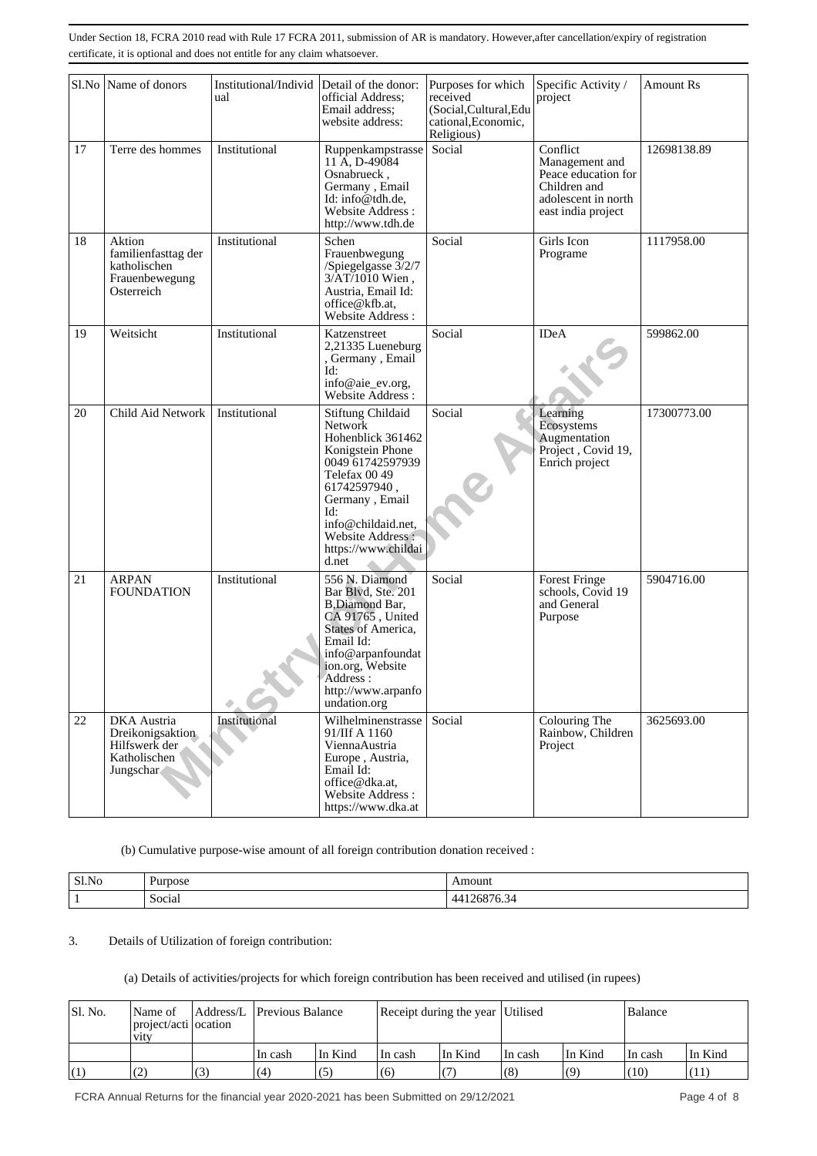| Sl.No | Name of donors                                                                | Institutional/Individ<br>ual | Detail of the donor:<br>official Address;<br>Email address:<br>website address:                                                                                                                                                             | Purposes for which<br>received<br>(Social, Cultural, Edu<br>cational, Economic,<br>Religious) | Specific Activity /<br>project                                                                                 | Amount Rs   |
|-------|-------------------------------------------------------------------------------|------------------------------|---------------------------------------------------------------------------------------------------------------------------------------------------------------------------------------------------------------------------------------------|-----------------------------------------------------------------------------------------------|----------------------------------------------------------------------------------------------------------------|-------------|
| 17    | Terre des hommes                                                              | Institutional                | Ruppenkampstrasse<br>11 A, D-49084<br>Osnabrueck,<br>Germany, Email<br>Id: info@tdh.de,<br>Website Address:<br>http://www.tdh.de                                                                                                            | Social                                                                                        | Conflict<br>Management and<br>Peace education for<br>Children and<br>adolescent in north<br>east india project | 12698138.89 |
| 18    | Aktion<br>familienfasttag der<br>katholischen<br>Frauenbewegung<br>Osterreich | Institutional                | Schen<br>Frauenbwegung<br>/Spiegelgasse $3/2/7$<br>$3/AT/1010$ Wien,<br>Austria, Email Id:<br>office@kfb.at.<br>Website Address:                                                                                                            | Social                                                                                        | Girls Icon<br>Programe                                                                                         | 1117958.00  |
| 19    | Weitsicht                                                                     | Institutional                | Katzenstreet<br>2,21335 Lueneburg<br>, Germany , Email<br>Id:<br>info@aie_ev.org,<br>Website Address:                                                                                                                                       | Social                                                                                        | <b>IDeA</b>                                                                                                    | 599862.00   |
| 20    | Child Aid Network                                                             | Institutional                | <b>Stiftung Childaid</b><br><b>Network</b><br>Hohenblick 361462<br>Konigstein Phone<br>0049 61742597939<br>Telefax 00 49<br>61742597940,<br>Germany, Email<br>Id:<br>info@childaid.net.<br>Website Address:<br>https://www.childai<br>d.net | Social                                                                                        | Learning<br>Ecosystems<br>Augmentation<br>Project, Covid 19,<br>Enrich project                                 | 17300773.00 |
| 21    | <b>ARPAN</b><br><b>FOUNDATION</b>                                             | Institutional                | 556 N. Diamond<br>Bar Blvd, Ste. 201<br>B, Diamond Bar,<br>CA 91765, United<br>States of America,<br>Email Id:<br>info@arpanfoundat<br>ion.org, Website<br>Address:<br>http://www.arpanfo<br>undation.org                                   | Social                                                                                        | Forest Fringe<br>schools, Covid 19<br>and General<br>Purpose                                                   | 5904716.00  |
| 22    | DKA Austria<br>Dreikonigsaktion<br>Hilfswerk der<br>Katholischen<br>Jungschar | Institutional                | Wilhelminenstrasse<br>91/IIf A 1160<br>ViennaAustria<br>Europe, Austria,<br>Email Id:<br>office@dka.at.<br>Website Address:<br>https://www.dka.at                                                                                           | Social                                                                                        | Colouring The<br>Rainbow, Children<br>Project                                                                  | 3625693.00  |

(b) Cumulative purpose-wise amount of all foreign contribution donation received :

| Sl.No | Purpose          | Amount                    |
|-------|------------------|---------------------------|
|       | $\sim$<br>Social | יי<br>$\mathbf{U}$<br>vv. |

## 3. Details of Utilization of foreign contribution:

### (a) Details of activities/projects for which foreign contribution has been received and utilised (in rupees)

| Sl. No. | Name of<br>project/acti ocation<br><b>V1tV</b> |    | Address/L Previous Balance |         | Receipt during the year Utilised |         |         |         | Balance |         |
|---------|------------------------------------------------|----|----------------------------|---------|----------------------------------|---------|---------|---------|---------|---------|
|         |                                                |    | In cash                    | In Kind | Hn cash                          | In Kind | In cash | In Kind | In cash | In Kind |
| (1)     | ╰                                              | (3 | (4)                        | (5۰     | (6)                              |         | (8)     | (9)     | (10)    | (11)    |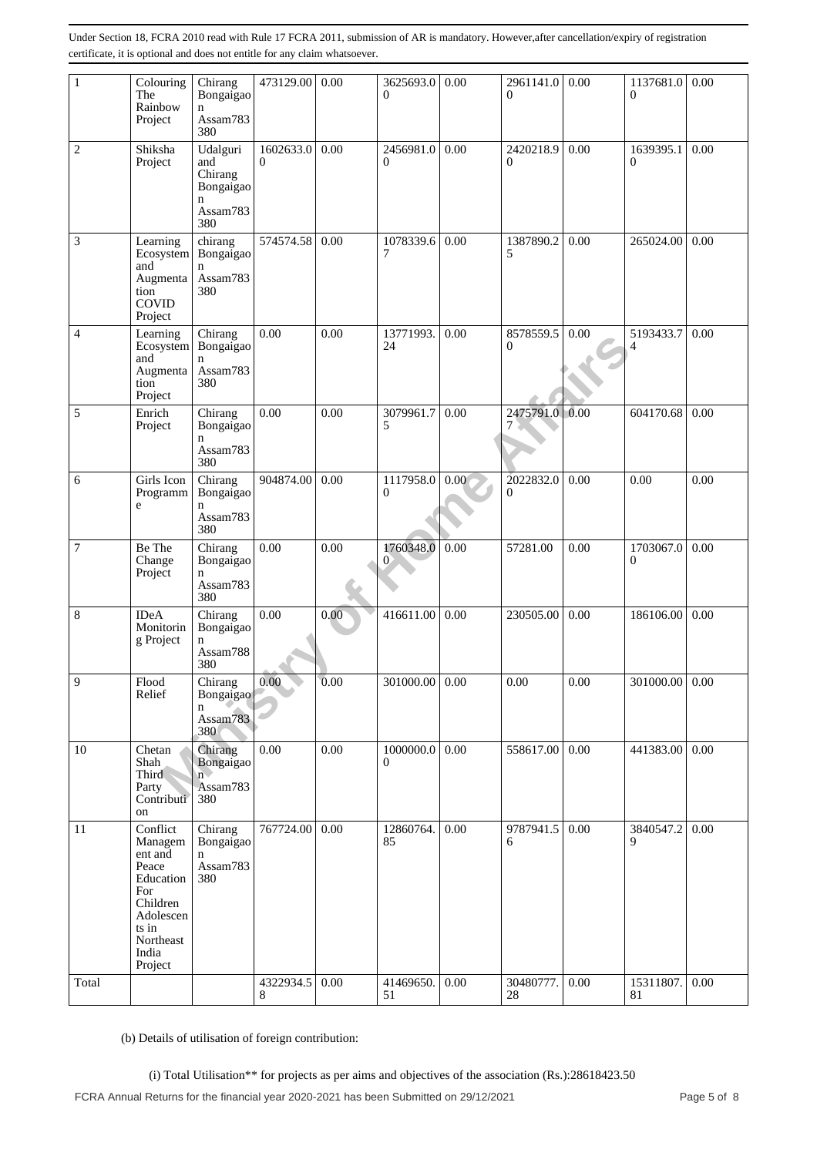| $\mathbf{1}$   | Colouring<br>The<br>Rainbow<br>Project                                                                                         | Chirang<br>Bongaigao<br>$\mathbf n$<br>Assam783<br>380                    | 473129.00             | 0.00 | 3625693.0<br>$\overline{0}$                                                                          | 0.00 | 2961141.0<br>$\Omega$     | 0.00 | 1137681.0<br>$\overline{0}$ | 0.00 |
|----------------|--------------------------------------------------------------------------------------------------------------------------------|---------------------------------------------------------------------------|-----------------------|------|------------------------------------------------------------------------------------------------------|------|---------------------------|------|-----------------------------|------|
| $\overline{2}$ | Shiksha<br>Project                                                                                                             | Udalguri<br>and<br>Chirang<br>Bongaigao<br>$\mathbf n$<br>Assam783<br>380 | 1602633.0<br>$\Omega$ | 0.00 | 2456981.0<br>$\overline{0}$                                                                          | 0.00 | 2420218.9<br>$\mathbf{0}$ | 0.00 | 1639395.1<br>0              | 0.00 |
| 3              | Learning<br>Ecosystem<br>and<br>Augmenta<br>tion<br>COVID<br>Project                                                           | chirang<br>Bongaigao<br>$\mathbf n$<br>Assam783<br>380                    | 574574.58             | 0.00 | 1078339.6<br>7                                                                                       | 0.00 | 1387890.2<br>5            | 0.00 | 265024.00                   | 0.00 |
| 4              | Learning<br>Ecosystem<br>and<br>Augmenta<br>tion<br>Project                                                                    | Chirang<br>Bongaigao<br>n<br>Assam783<br>380                              | 0.00                  | 0.00 | 13771993.<br>24                                                                                      | 0.00 | 8578559.5<br>$\mathbf{0}$ | 0.00 | 5193433.7<br>4              | 0.00 |
| 5              | Enrich<br>Project                                                                                                              | Chirang<br>Bongaigao<br>$\mathbf n$<br>Assam783<br>380                    | 0.00                  | 0.00 | 3079961.7<br>5                                                                                       | 0.00 | 2475791.0<br>7            | 0.00 | 604170.68                   | 0.00 |
| 6              | Girls Icon<br>Programm<br>e                                                                                                    | Chirang<br>Bongaigao<br>$\mathsf{n}$<br>Assam783<br>380                   | 904874.00             | 0.00 | 1117958.0<br>$\overline{0}$                                                                          | 0.00 | 2022832.0<br>$\theta$     | 0.00 | 0.00                        | 0.00 |
| $\overline{7}$ | Be The<br>Change<br>Project                                                                                                    | Chirang<br>Bongaigao<br>n<br>Assam783<br>380                              | 0.00                  | 0.00 | 1760348.0<br>0                                                                                       | 0.00 | 57281.00                  | 0.00 | 1703067.0<br>0              | 0.00 |
| 8              | <b>IDeA</b><br>Monitorin<br>g Project                                                                                          | Chirang<br>Bongaigao<br>n<br>Assam788<br>380                              | 0.00                  | 0.00 | 416611.00                                                                                            | 0.00 | 230505.00                 | 0.00 | 186106.00                   | 0.00 |
| $\overline{9}$ | Flood<br>Relief                                                                                                                | Chirang<br>Bongaigao<br>n<br>Assam783<br>380                              | 0.00                  | 0.00 | 301000.00 0.00                                                                                       |      | 0.00                      | 0.00 | 301000.00 0.00              |      |
| 10             | Chetan<br>Shah<br>Third<br>Party<br>Contributi<br>on                                                                           | Chirang<br>Bongaigao<br>$\overline{n}$<br>Assam783<br>380                 | 0.00                  | 0.00 | 1000000.0<br>$\overline{0}$                                                                          | 0.00 | 558617.00                 | 0.00 | 441383.00                   | 0.00 |
| 11             | Conflict<br>Managem<br>ent and<br>Peace<br>Education<br>For<br>Children<br>Adolescen<br>ts in<br>Northeast<br>India<br>Project | Chirang<br>Bongaigao<br>n<br>Assam783<br>380                              | 767724.00             | 0.00 | 12860764.<br>85                                                                                      | 0.00 | 9787941.5<br>6            | 0.00 | 3840547.2<br>9              | 0.00 |
| Total          |                                                                                                                                |                                                                           | 4322934.5<br>8        | 0.00 | 41469650.<br>51                                                                                      | 0.00 | 30480777.<br>28           | 0.00 | 15311807.<br>81             | 0.00 |
|                | (b) Details of utilisation of foreign contribution:                                                                            |                                                                           |                       |      | (i) Total Utilisation** for projects as per aims and objectives of the association (Rs.):28618423.50 |      |                           |      |                             |      |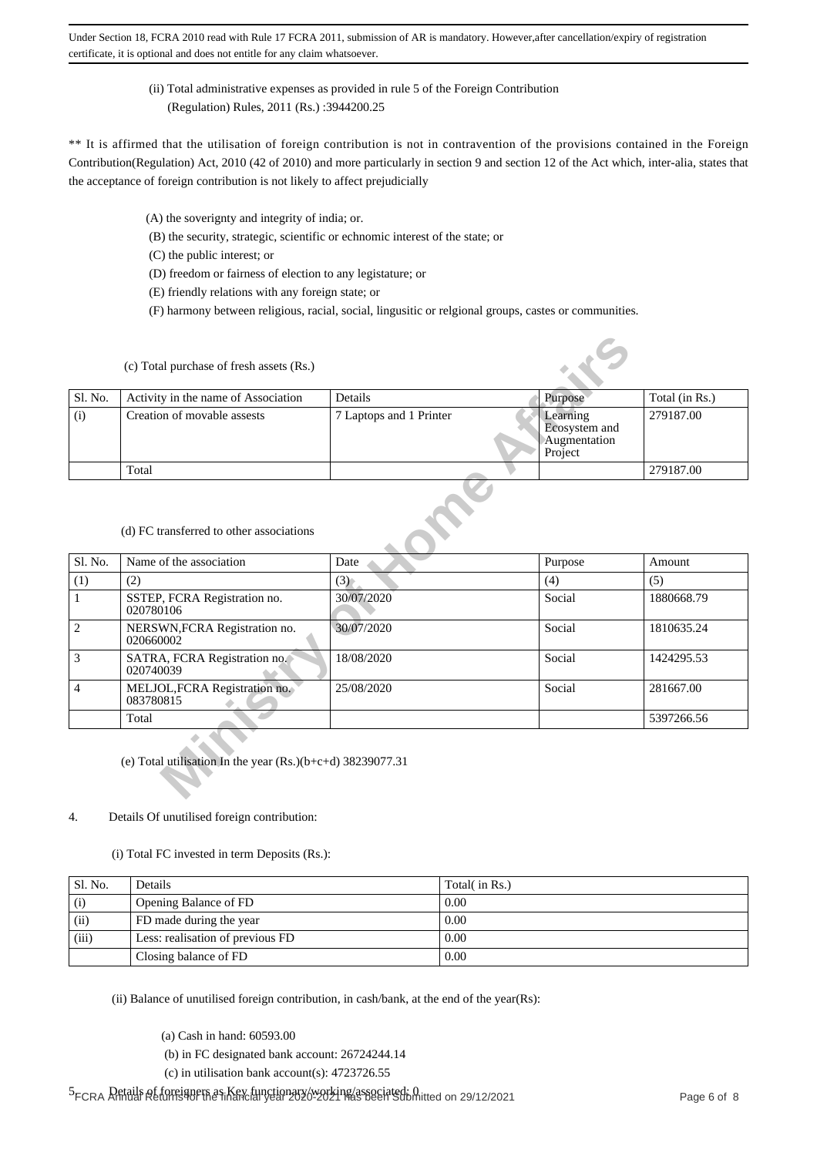## (ii) Total administrative expenses as provided in rule 5 of the Foreign Contribution (Regulation) Rules, 2011 (Rs.) :3944200.25

\*\* It is affirmed that the utilisation of foreign contribution is not in contravention of the provisions contained in the Foreign Contribution(Regulation) Act, 2010 (42 of 2010) and more particularly in section 9 and section 12 of the Act which, inter-alia, states that the acceptance of foreign contribution is not likely to affect prejudicially

- (A) the soverignty and integrity of india; or.
- (B) the security, strategic, scientific or echnomic interest of the state; or
- (C) the public interest; or
- (D) freedom or fairness of election to any legistature; or
- (E) friendly relations with any foreign state; or

(F) harmony between religious, racial, social, lingusitic or relgional groups, castes or communities.

| Sl. No. | Activity in the name of Association | Details                 | Purpose                                              | Total (in Rs.) |
|---------|-------------------------------------|-------------------------|------------------------------------------------------|----------------|
| (i)     | Creation of movable assests         | 7 Laptops and 1 Printer | Learning<br>Ecosystem and<br>Augmentation<br>Project | 279187.00      |
|         | Total                               |                         |                                                      | 279187.00      |

### (d) FC transferred to other associations

|                | (c) Total purchase of fresh assets (Rs.)                     |                         |                                                      |                |
|----------------|--------------------------------------------------------------|-------------------------|------------------------------------------------------|----------------|
| Sl. No.        | Activity in the name of Association                          | Details                 | Purpose                                              | Total (in Rs.) |
| (i)            | Creation of movable assests                                  | 7 Laptops and 1 Printer | Learning<br>Ecosystem and<br>Augmentation<br>Project | 279187.00      |
|                | Total                                                        |                         |                                                      | 279187.00      |
|                | (d) FC transferred to other associations                     |                         |                                                      |                |
| Sl. No.        | Name of the association                                      | Date                    | Purpose                                              | Amount         |
| (1)            | (2)                                                          | (3)                     | (4)                                                  | (5)            |
| $\mathbf{1}$   | SSTEP, FCRA Registration no.<br>020780106                    | 30/07/2020              | Social                                               | 1880668.79     |
| $\overline{c}$ | NERSWN, FCRA Registration no.<br>020660002                   | 30/07/2020              | Social                                               | 1810635.24     |
| 3              | SATRA, FCRA Registration no.<br>020740039                    | 18/08/2020              | Social                                               | 1424295.53     |
| 4              | MELJOL, FCRA Registration no.<br>083780815                   | 25/08/2020              | Social                                               | 281667.00      |
|                | Total                                                        |                         |                                                      | 5397266.56     |
|                | (e) Total utilisation In the year $(Rs.)(b+c+d)$ 38239077.31 |                         |                                                      |                |

### 4. Details Of unutilised foreign contribution:

(i) Total FC invested in term Deposits (Rs.):

| <sup>1</sup> Sl. No. | Details                          | Total( in Rs.) |
|----------------------|----------------------------------|----------------|
| (i)                  | Opening Balance of FD            | 0.00           |
| (ii)                 | FD made during the year          | 0.00           |
| (iii)                | Less: realisation of previous FD | 0.00           |
|                      | Closing balance of FD            | 0.00           |

(ii) Balance of unutilised foreign contribution, in cash/bank, at the end of the year(Rs):

(a) Cash in hand: 60593.00

- (b) in FC designated bank account: 26724244.14
- (c) in utilisation bank account(s):  $4723726.55$

5. Details of foreigners as Key functionary/working/associated: 0 FCRA Annual Returns for the financial year 2020-2021 has been Submitted on 29/12/2021 Page 6 of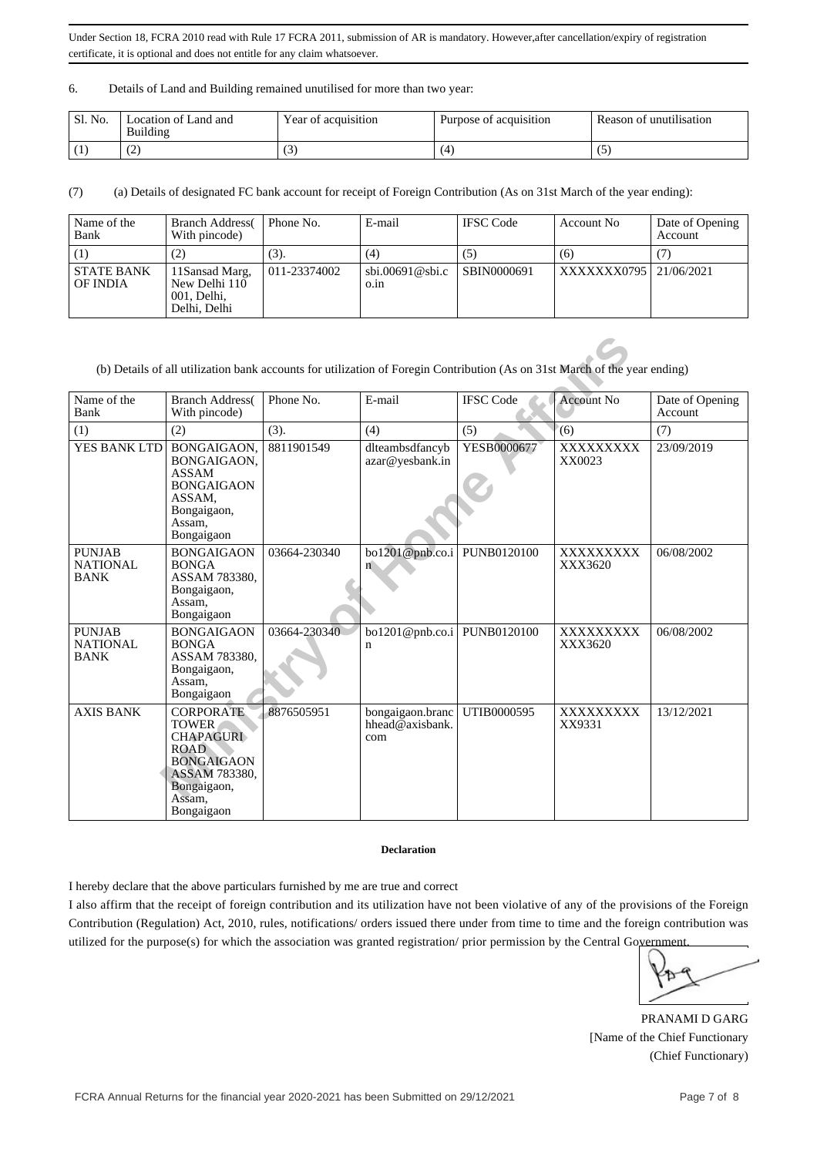### 6. Details of Land and Building remained unutilised for more than two year:

| Sl. No. | Location of Land and<br>Building | Year of acquisition | Purpose of acquisition | $\cdots$<br>Reason of unutilisation |
|---------|----------------------------------|---------------------|------------------------|-------------------------------------|
|         | . <u>. .</u>                     | ぃ                   | . 4                    | w                                   |

(7) (a) Details of designated FC bank account for receipt of Foreign Contribution (As on 31st March of the year ending):

| Name of the<br>Bank           | <b>Branch Address</b><br>With pincode)                         | Phone No.    | E-mail                           | <b>IFSC</b> Code | Account No             | Date of Opening<br>Account |
|-------------------------------|----------------------------------------------------------------|--------------|----------------------------------|------------------|------------------------|----------------------------|
|                               |                                                                | (3).         | (4)                              | (5)              | (6)                    |                            |
| <b>STATE BANK</b><br>OF INDIA | 11Sansad Marg,<br>New Delhi 110<br>001, Delhi,<br>Delhi, Delhi | 011-23374002 | $\text{sbi.00691@sbi.c}$<br>0.1n | SBIN0000691      | XXXXXXX0795 21/06/2021 |                            |

|                                                 |                                                                                                                                                  |              | (b) Details of all utilization bank accounts for utilization of Foregin Contribution (As on 31st March of the year ending) |                  |                             |                            |
|-------------------------------------------------|--------------------------------------------------------------------------------------------------------------------------------------------------|--------------|----------------------------------------------------------------------------------------------------------------------------|------------------|-----------------------------|----------------------------|
| Name of the<br>Bank                             | <b>Branch Address</b><br>With pincode)                                                                                                           | Phone No.    | E-mail                                                                                                                     | <b>IFSC</b> Code | <b>Account No</b>           | Date of Opening<br>Account |
| (1)                                             | (2)                                                                                                                                              | (3).         | (4)                                                                                                                        | (5)              | (6)                         | (7)                        |
| YES BANK LTD                                    | BONGAIGAON.<br>BONGAIGAON.<br><b>ASSAM</b><br><b>BONGAIGAON</b><br>ASSAM.<br>Bongaigaon,<br>Assam,<br>Bongaigaon                                 | 8811901549   | dlteambsdfancyb<br>azar@yesbank.in                                                                                         | YESB0000677      | XXXXXXXXX<br>XX0023         | 23/09/2019                 |
| <b>PUNJAB</b><br><b>NATIONAL</b><br><b>BANK</b> | <b>BONGAIGAON</b><br><b>BONGA</b><br>ASSAM 783380.<br>Bongaigaon,<br>Assam,<br>Bongaigaon                                                        | 03664-230340 | bo1201@pnb.co.i<br>ń                                                                                                       | PUNB0120100      | <b>XXXXXXXXX</b><br>XXX3620 | 06/08/2002                 |
| <b>PUNJAB</b><br><b>NATIONAL</b><br><b>BANK</b> | <b>BONGAIGAON</b><br><b>BONGA</b><br>ASSAM 783380.<br>Bongaigaon,<br>Assam.<br>Bongaigaon                                                        | 03664-230340 | $\text{bo1201@pnb.co.i}$ PUNB0120100<br>n                                                                                  |                  | <b>XXXXXXXXX</b><br>XXX3620 | 06/08/2002                 |
| <b>AXIS BANK</b>                                | <b>CORPORATE</b><br><b>TOWER</b><br><b>CHAPAGURI</b><br><b>ROAD</b><br><b>BONGAIGAON</b><br>ASSAM 783380.<br>Bongaigaon,<br>Assam.<br>Bongaigaon | 8876505951   | bongaigaon.branc<br>hhead@axisbank.<br>com                                                                                 | UTIB0000595      | <b>XXXXXXXXX</b><br>XX9331  | 13/12/2021                 |

### **Declaration**

I hereby declare that the above particulars furnished by me are true and correct

I also affirm that the receipt of foreign contribution and its utilization have not been violative of any of the provisions of the Foreign Contribution (Regulation) Act, 2010, rules, notifications/ orders issued there under from time to time and the foreign contribution was utilized for the purpose(s) for which the association was granted registration/ prior permission by the Central Government.

PRANAMI D GARG [Name of the Chief Functionary (Chief Functionary)